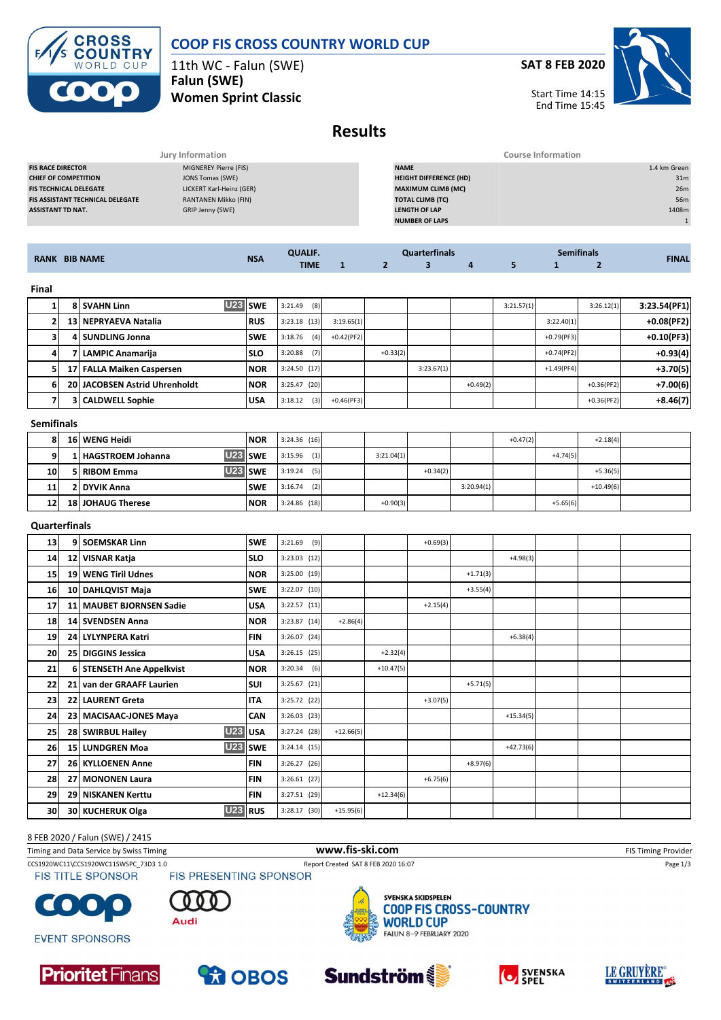

### **COOP FIS CROSS COUNTRY WORLD CUP**

11th WC - Falun (SWE) **Falun (SWE)**

**Women Sprint Classic**

**SAT 8 FEB 2020**



Start Time 14:15 End Time 15:45

### **Results**

|                                         | Jury Information            | Course Information            |                 |
|-----------------------------------------|-----------------------------|-------------------------------|-----------------|
| <b>FIS RACE DIRECTOR</b>                | MIGNEREY Pierre (FIS)       | <b>NAME</b>                   | 1.4 km Green    |
| <b>CHIEF OF COMPETITION</b>             | JONS Tomas (SWE)            | <b>HEIGHT DIFFERENCE (HD)</b> | 31 <sub>m</sub> |
| <b>FIS TECHNICAL DELEGATE</b>           | LICKERT Karl-Heinz (GER)    | <b>MAXIMUM CLIMB (MC)</b>     | 26m             |
| <b>FIS ASSISTANT TECHNICAL DELEGATE</b> | <b>RANTANEN Mikko (FIN)</b> | <b>TOTAL CLIMB (TC)</b>       | 56m             |
| <b>ASSISTANT TD NAT.</b>                | GRIP Jenny (SWE)            | <b>LENGTH OF LAP</b>          | 1408m           |
|                                         |                             | <b>NUMBER OF LAPS</b>         |                 |
|                                         |                             |                               |                 |

| <b>RANK</b><br><b>BIB NAME</b> | <b>NIC</b><br><b>IVSA</b> |             | tinals |  |  |  | $-0.00$<br><b>Pemifinals</b> |  |              |
|--------------------------------|---------------------------|-------------|--------|--|--|--|------------------------------|--|--------------|
| --- --- ----                   |                           | <b>TIME</b> |        |  |  |  |                              |  | <b>FINAL</b> |

#### **Final**

|    | U23 SWE<br>8 SVAHN Linn       |             | (8)<br>3:21.49 |              |            |            |            | 3:21.57(1) |              | 3:26.12(1)   | 3:23.54(PF1) |
|----|-------------------------------|-------------|----------------|--------------|------------|------------|------------|------------|--------------|--------------|--------------|
|    | 13 NEPRYAEVA Natalia          | <b>RUS</b>  | $3:23.18$ (13) | 3:19.65(1)   |            |            |            |            | 3:22.40(1)   |              | $+0.08(PF2)$ |
|    | 4 SUNDLING Jonna              | <b>SWE</b>  | (4)<br>3:18.76 | $+0.42(PF2)$ |            |            |            |            | $+0.79(PF3)$ |              | $+0.10(PF3)$ |
|    | l LAMPIC Anamariia            | <b>SLO</b>  | (7)<br>3:20.88 |              | $+0.33(2)$ |            |            |            | $+0.74(PF2)$ |              | $+0.93(4)$   |
| 51 | 17 FALLA Maiken Caspersen     | <b>INOR</b> | 3:24.50(17)    |              |            | 3:23.67(1) |            |            | $+1.49(PF4)$ |              | $+3.70(5)$   |
|    | 20 JACOBSEN Astrid Uhrenholdt | <b>NOR</b>  | 3:25.47(20)    |              |            |            | $+0.49(2)$ |            |              | $+0.36(PF2)$ | $+7.00(6)$   |
|    | <b>3 CALDWELL Sophie</b>      | <b>USA</b>  | (3)<br>3:18.12 | $+0.46(PF3)$ |            |            |            |            |              | $+0.36(PF2)$ | $+8.46(7)$   |

#### **Semifinals**

|                 | 16 WENG Heidi            | <b>NOR</b> | $3:24.36$ (16) |            |            |            | $+0.47(2)$ |            | $+2.18(4)$  |  |
|-----------------|--------------------------|------------|----------------|------------|------------|------------|------------|------------|-------------|--|
|                 | 1 HAGSTROEM Johanna      | U23 SWE    | (1)<br>3:15.96 | 3:21.04(1) |            |            |            | $+4.74(5)$ |             |  |
| 10 <sub>1</sub> | 5 RIBOM Emma             | U23 SWE    | 3:19.24<br>(5) |            | $+0.34(2)$ |            |            |            | $+5.36(5)$  |  |
| 11              | 2 DYVIK Anna             | <b>SWE</b> | 3:16.74<br>(2) |            |            | 3:20.94(1) |            |            | $+10.49(6)$ |  |
| 12              | <b>18 JOHAUG Therese</b> | <b>NOR</b> | $3:24.86$ (18) | $+0.90(3)$ |            |            |            | $+5.65(6)$ |             |  |

#### **Quarterfinals**

| 13 | 9 SOEMSKAR Linn                 | <b>SWE</b>     | 3:21.69<br>(9) |             |             | $+0.69(3)$ |            |             |  |  |
|----|---------------------------------|----------------|----------------|-------------|-------------|------------|------------|-------------|--|--|
| 14 | 12 VISNAR Katja                 | <b>SLO</b>     | $3:23.03$ (12) |             |             |            |            | $+4.98(3)$  |  |  |
| 15 | 19 WENG Tiril Udnes             | <b>NOR</b>     | 3:25.00 (19)   |             |             |            | $+1.71(3)$ |             |  |  |
| 16 | 10 DAHLQVIST Maja               | <b>SWE</b>     | $3:22.07$ (10) |             |             |            | $+3.55(4)$ |             |  |  |
| 17 | 11 MAUBET BJORNSEN Sadie        | <b>USA</b>     | $3:22.57$ (11) |             |             | $+2.15(4)$ |            |             |  |  |
| 18 | 14 SVENDSEN Anna                | <b>NOR</b>     | 3:23.87 (14)   | $+2.86(4)$  |             |            |            |             |  |  |
| 19 | 24 LYLYNPERA Katri              | <b>FIN</b>     | 3:26.07 (24)   |             |             |            |            | $+6.38(4)$  |  |  |
| 20 | 25 DIGGINS Jessica              | <b>USA</b>     | $3:26.15$ (25) |             | $+2.32(4)$  |            |            |             |  |  |
| 21 | 6 STENSETH Ane Appelkvist       | <b>NOR</b>     | 3:20.34<br>(6) |             | $+10.47(5)$ |            |            |             |  |  |
| 22 | 21 van der GRAAFF Laurien       | <b>SUI</b>     | $3:25.67$ (21) |             |             |            | $+5.71(5)$ |             |  |  |
| 23 | 22 LAURENT Greta                | <b>ITA</b>     | $3:25.72$ (22) |             |             | $+3.07(5)$ |            |             |  |  |
| 24 | 23 MACISAAC-JONES Maya          | CAN            | $3:26.03$ (23) |             |             |            |            | $+15.34(5)$ |  |  |
| 25 | <b>U23</b><br>28 SWIRBUL Hailey | <b>USA</b>     | $3:27.24$ (28) | $+12.66(5)$ |             |            |            |             |  |  |
| 26 | <b>U23</b><br>15 LUNDGREN Moa   | <b>I</b> swe   | $3:24.14$ (15) |             |             |            |            | $+42.73(6)$ |  |  |
| 27 | 26 KYLLOENEN Anne               | <b>FIN</b>     | 3:26.27(26)    |             |             |            | $+8.97(6)$ |             |  |  |
| 28 | 27 MONONEN Laura                | <b>FIN</b>     | $3:26.61$ (27) |             |             | $+6.75(6)$ |            |             |  |  |
| 29 | <b>29 NISKANEN Kerttu</b>       | <b>FIN</b>     | 3:27.51 (29)   |             | $+12.34(6)$ |            |            |             |  |  |
| 30 | 30 KUCHERUK Olga                | <b>U23</b> RUS | $3:28.17$ (30) | $+15.95(6)$ |             |            |            |             |  |  |

#### 8 FEB 2020 / Falun (SWE) / 2415

| Timing and Data Service by Swiss Timing | www.fis-ski.com                     | FIS Timing Provider |
|-----------------------------------------|-------------------------------------|---------------------|
| CCS1920WC11\CCS1920WC11SWSPC 73D3 1.0   | Report Created SAT 8 FEB 2020 16:07 | Page 1/3            |
| FIS TITLE SPONSOR                       | <b>FIS PRESENTING SPONSOR</b>       |                     |
| <b>COMPANY</b>                          | SVENSKA SKIDSPELEN                  |                     |



**EVENT SPONSORS** 









**Sundström** 

¥



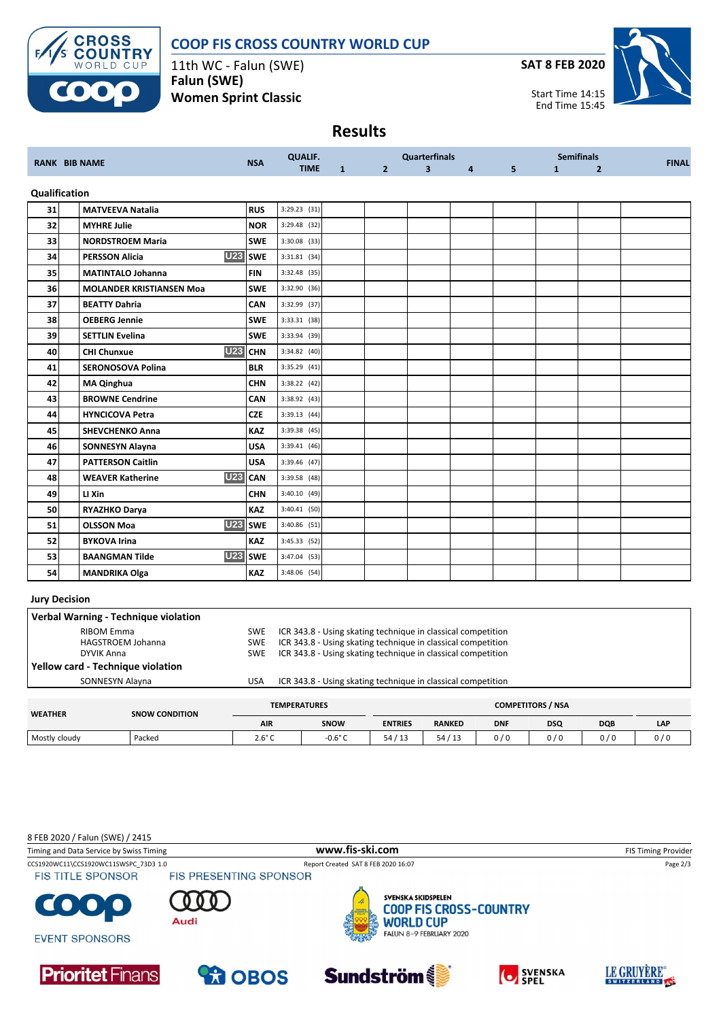

### **COOP FIS CROSS COUNTRY WORLD CUP**

11th WC - Falun (SWE) **Falun (SWE) Women Sprint Classic**

**SAT 8 FEB 2020**



Start Time 14:15 End Time 15:45

## **Results**

| <b>RANK BIB NAME</b> |                                       | <b>NSA</b>          | <b>QUALIF.</b> | <b>Quarterfinals</b> |                |                         |          | <b>Semifinals</b> |              |                | <b>FINAL</b> |
|----------------------|---------------------------------------|---------------------|----------------|----------------------|----------------|-------------------------|----------|-------------------|--------------|----------------|--------------|
|                      |                                       |                     | <b>TIME</b>    | $\mathbf{1}$         | 2 <sup>2</sup> | $\overline{\mathbf{3}}$ | $4 \sim$ | 5 <sup>1</sup>    | $\mathbf{1}$ | $\overline{2}$ |              |
|                      | Qualification                         |                     |                |                      |                |                         |          |                   |              |                |              |
| 31                   | <b>MATVEEVA Natalia</b>               | <b>RUS</b>          | $3:29.23$ (31) |                      |                |                         |          |                   |              |                |              |
| 32                   | <b>MYHRE Julie</b>                    | <b>NOR</b>          | 3:29.48 (32)   |                      |                |                         |          |                   |              |                |              |
| 33                   | <b>NORDSTROEM Maria</b>               | <b>SWE</b>          | $3:30.08$ (33) |                      |                |                         |          |                   |              |                |              |
| 34                   | <b>PERSSON Alicia</b>                 | U23 SWE             | $3:31.81$ (34) |                      |                |                         |          |                   |              |                |              |
| 35                   | <b>MATINTALO Johanna</b>              | <b>FIN</b>          | 3:32.48 (35)   |                      |                |                         |          |                   |              |                |              |
| 36                   | <b>MOLANDER KRISTIANSEN Moa</b>       | <b>SWE</b>          | 3:32.90 (36)   |                      |                |                         |          |                   |              |                |              |
| 37                   | <b>BEATTY Dahria</b>                  | <b>CAN</b>          | 3:32.99 (37)   |                      |                |                         |          |                   |              |                |              |
| 38                   | <b>OEBERG Jennie</b>                  | <b>SWE</b>          | 3:33.31 (38)   |                      |                |                         |          |                   |              |                |              |
| 39                   | <b>SETTLIN Evelina</b>                | <b>SWE</b>          | 3:33.94 (39)   |                      |                |                         |          |                   |              |                |              |
| 40                   | <b>U23</b><br><b>CHI Chunxue</b>      | <b>CHN</b>          | $3:34.82$ (40) |                      |                |                         |          |                   |              |                |              |
| 41                   | <b>SERONOSOVA Polina</b>              | <b>BLR</b>          | 3:35.29 (41)   |                      |                |                         |          |                   |              |                |              |
| 42                   | <b>MA Qinghua</b>                     | <b>CHN</b>          | 3:38.22 (42)   |                      |                |                         |          |                   |              |                |              |
| 43                   | <b>BROWNE Cendrine</b>                | <b>CAN</b>          | 3:38.92 (43)   |                      |                |                         |          |                   |              |                |              |
| 44                   | <b>HYNCICOVA Petra</b>                | <b>CZE</b>          | 3:39.13(44)    |                      |                |                         |          |                   |              |                |              |
| 45                   | <b>SHEVCHENKO Anna</b>                | <b>KAZ</b>          | 3:39.38 (45)   |                      |                |                         |          |                   |              |                |              |
| 46                   | <b>SONNESYN Alayna</b>                | <b>USA</b>          | 3:39.41(46)    |                      |                |                         |          |                   |              |                |              |
| 47                   | <b>PATTERSON Caitlin</b>              | <b>USA</b>          | 3:39.46 (47)   |                      |                |                         |          |                   |              |                |              |
| 48                   | <b>U23</b><br><b>WEAVER Katherine</b> | <b>CAN</b>          | 3:39.58 (48)   |                      |                |                         |          |                   |              |                |              |
| 49                   | LI Xin                                | <b>CHN</b>          | $3:40.10$ (49) |                      |                |                         |          |                   |              |                |              |
| 50                   | RYAZHKO Darya                         | <b>KAZ</b>          | $3:40.41$ (50) |                      |                |                         |          |                   |              |                |              |
| 51                   | <b>OLSSON Moa</b>                     | U <sub>23</sub> SWE | $3:40.86$ (51) |                      |                |                         |          |                   |              |                |              |
| 52                   | <b>BYKOVA Irina</b>                   | KAZ                 | 3:45.33 (52)   |                      |                |                         |          |                   |              |                |              |
| 53                   | <b>BAANGMAN Tilde</b>                 | <b>U23</b> SWE      | 3:47.04 (53)   |                      |                |                         |          |                   |              |                |              |
| 54                   | <b>MANDRIKA Olga</b>                  | <b>KAZ</b>          | 3:48.06 (54)   |                      |                |                         |          |                   |              |                |              |

#### **Jury Decision**

|                | Verbal Warning - Technique violation                 |                                        |                                                                                                                                                                                              |                          |               |            |            |            |            |  |  |
|----------------|------------------------------------------------------|----------------------------------------|----------------------------------------------------------------------------------------------------------------------------------------------------------------------------------------------|--------------------------|---------------|------------|------------|------------|------------|--|--|
|                | RIBOM Emma<br><b>HAGSTROEM Johanna</b><br>DYVIK Anna | <b>SWE</b><br><b>SWE</b><br><b>SWE</b> | ICR 343.8 - Using skating technique in classical competition<br>ICR 343.8 - Using skating technique in classical competition<br>ICR 343.8 - Using skating technique in classical competition |                          |               |            |            |            |            |  |  |
|                | Yellow card - Technique violation                    |                                        |                                                                                                                                                                                              |                          |               |            |            |            |            |  |  |
|                | SONNESYN Alayna                                      | <b>USA</b>                             | ICR 343.8 - Using skating technique in classical competition                                                                                                                                 |                          |               |            |            |            |            |  |  |
|                |                                                      |                                        |                                                                                                                                                                                              |                          |               |            |            |            |            |  |  |
| <b>WEATHER</b> | <b>SNOW CONDITION</b>                                |                                        | <b>TEMPERATURES</b>                                                                                                                                                                          | <b>COMPETITORS / NSA</b> |               |            |            |            |            |  |  |
|                |                                                      | <b>AIR</b>                             | SNOW                                                                                                                                                                                         | <b>ENTRIES</b>           | <b>RANKED</b> | <b>DNF</b> | <b>DSQ</b> | <b>DQB</b> | <b>LAP</b> |  |  |

Mostly cloudy | Packed | 2.6°C | -0.6°C | 54 / 13 | 0 / 0 | 0 / 0 | 0 / 0 | 0 / 0

8 FEB 2020 / Falun (SWE) / 2415

| Timing and Data Service by Swiss Timing                           |                               | www.fis-ski.com                                                                                                   |                  | <b>FIS Timing Provider</b>   |  |  |
|-------------------------------------------------------------------|-------------------------------|-------------------------------------------------------------------------------------------------------------------|------------------|------------------------------|--|--|
| CCS1920WC11\CCS1920WC11SWSPC 73D3 1.0<br><b>FIS TITLE SPONSOR</b> | <b>FIS PRESENTING SPONSOR</b> | Report Created SAT 8 FEB 2020 16:07                                                                               |                  | Page 2/3                     |  |  |
| <b>COOO</b><br><b>EVENT SPONSORS</b>                              | Audi                          | SVENSKA SKIDSPELEN<br><b>COOP FIS CROSS-COUNTRY</b><br><b>SARA</b><br><b>WORLD CUP</b><br>FALUN 8-9 FEBRUARY 2020 |                  |                              |  |  |
| <b>Prioritet</b> Finans                                           | <b>PROBOS</b>                 | <b>Sundström</b>                                                                                                  | <b>O</b> SVENSKA | LE GRUYÈRE<br>SWITZERLAND 10 |  |  |